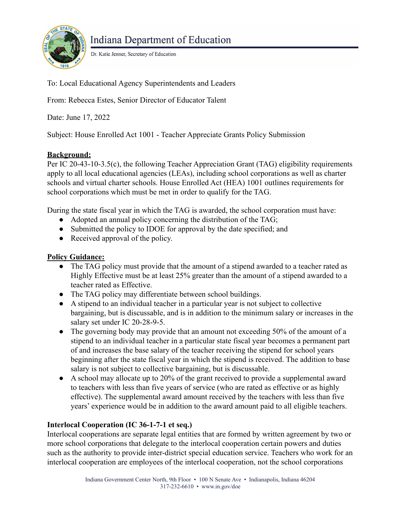

Dr. Katie Jenner, Secretary of Education

To: Local Educational Agency Superintendents and Leaders

From: Rebecca Estes, Senior Director of Educator Talent

Date: June 17, 2022

Subject: House Enrolled Act 1001 - Teacher Appreciate Grants Policy Submission

#### **Background:**

Per IC 20-43-10-3.5(c), the following Teacher Appreciation Grant (TAG) eligibility requirements apply to all local educational agencies (LEAs), including school corporations as well as charter schools and virtual charter schools. House Enrolled Act (HEA) 1001 outlines requirements for school corporations which must be met in order to qualify for the TAG.

During the state fiscal year in which the TAG is awarded, the school corporation must have:

- Adopted an annual policy concerning the distribution of the TAG;
- Submitted the policy to IDOE for approval by the date specified; and
- Received approval of the policy.

### **Policy Guidance:**

- The TAG policy must provide that the amount of a stipend awarded to a teacher rated as Highly Effective must be at least 25% greater than the amount of a stipend awarded to a teacher rated as Effective.
- The TAG policy may differentiate between school buildings.
- A stipend to an individual teacher in a particular year is not subject to collective bargaining, but is discussable, and is in addition to the minimum salary or increases in the salary set under IC 20-28-9-5.
- The governing body may provide that an amount not exceeding 50% of the amount of a stipend to an individual teacher in a particular state fiscal year becomes a permanent part of and increases the base salary of the teacher receiving the stipend for school years beginning after the state fiscal year in which the stipend is received. The addition to base salary is not subject to collective bargaining, but is discussable.
- A school may allocate up to 20% of the grant received to provide a supplemental award to teachers with less than five years of service (who are rated as effective or as highly effective). The supplemental award amount received by the teachers with less than five years' experience would be in addition to the award amount paid to all eligible teachers.

## **Interlocal Cooperation (IC 36-1-7-1 et seq.)**

Interlocal cooperations are separate legal entities that are formed by written agreement by two or more school corporations that delegate to the interlocal cooperation certain powers and duties such as the authority to provide inter-district special education service. Teachers who work for an interlocal cooperation are employees of the interlocal cooperation, not the school corporations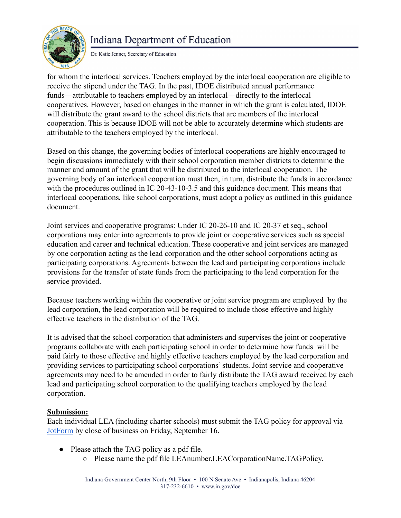# **Indiana Department of Education**



Dr. Katie Jenner, Secretary of Education

for whom the interlocal services. Teachers employed by the interlocal cooperation are eligible to receive the stipend under the TAG. In the past, IDOE distributed annual performance funds—attributable to teachers employed by an interlocal—directly to the interlocal cooperatives. However, based on changes in the manner in which the grant is calculated, IDOE will distribute the grant award to the school districts that are members of the interlocal cooperation. This is because IDOE will not be able to accurately determine which students are attributable to the teachers employed by the interlocal.

Based on this change, the governing bodies of interlocal cooperations are highly encouraged to begin discussions immediately with their school corporation member districts to determine the manner and amount of the grant that will be distributed to the interlocal cooperation. The governing body of an interlocal cooperation must then, in turn, distribute the funds in accordance with the procedures outlined in IC 20-43-10-3.5 and this guidance document. This means that interlocal cooperations, like school corporations, must adopt a policy as outlined in this guidance document.

Joint services and cooperative programs: Under IC 20-26-10 and IC 20-37 et seq., school corporations may enter into agreements to provide joint or cooperative services such as special education and career and technical education. These cooperative and joint services are managed by one corporation acting as the lead corporation and the other school corporations acting as participating corporations. Agreements between the lead and participating corporations include provisions for the transfer of state funds from the participating to the lead corporation for the service provided.

Because teachers working within the cooperative or joint service program are employed by the lead corporation, the lead corporation will be required to include those effective and highly effective teachers in the distribution of the TAG.

It is advised that the school corporation that administers and supervises the joint or cooperative programs collaborate with each participating school in order to determine how funds will be paid fairly to those effective and highly effective teachers employed by the lead corporation and providing services to participating school corporations' students. Joint service and cooperative agreements may need to be amended in order to fairly distribute the TAG award received by each lead and participating school corporation to the qualifying teachers employed by the lead corporation.

#### **Submission:**

Each individual LEA (including charter schools) must submit the TAG policy for approval via [JotForm](https://form.jotform.com/220615947001953) by close of business on Friday, September 16.

- Please attach the TAG policy as a pdf file.
	- Please name the pdf file LEAnumber.LEACorporationName.TAGPolicy.